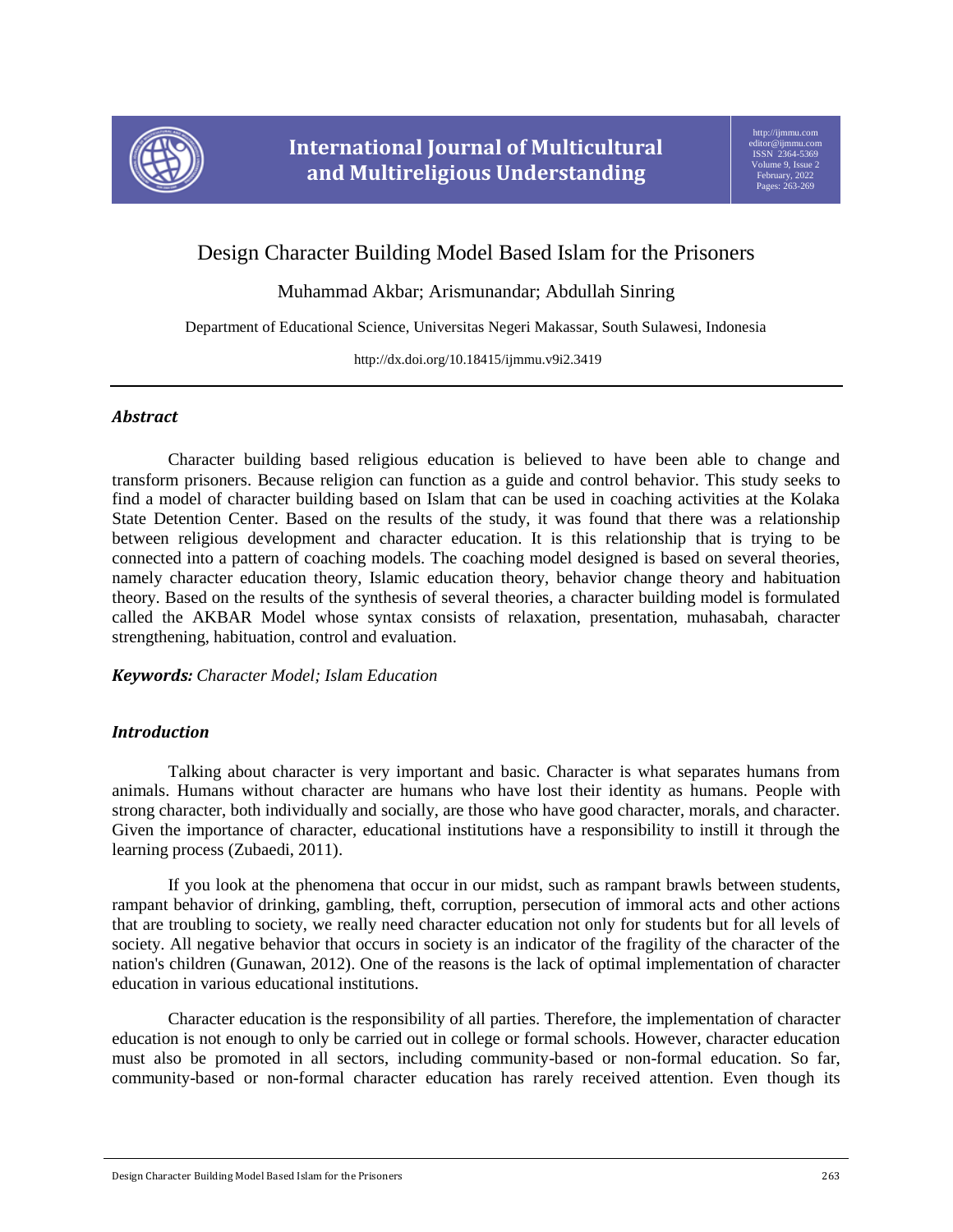

# Design Character Building Model Based Islam for the Prisoners

Muhammad Akbar; Arismunandar; Abdullah Sinring

Department of Educational Science, Universitas Negeri Makassar, South Sulawesi, Indonesia

http://dx.doi.org/10.18415/ijmmu.v9i2.3419

# *Abstract*

Character building based religious education is believed to have been able to change and transform prisoners. Because religion can function as a guide and control behavior. This study seeks to find a model of character building based on Islam that can be used in coaching activities at the Kolaka State Detention Center. Based on the results of the study, it was found that there was a relationship between religious development and character education. It is this relationship that is trying to be connected into a pattern of coaching models. The coaching model designed is based on several theories, namely character education theory, Islamic education theory, behavior change theory and habituation theory. Based on the results of the synthesis of several theories, a character building model is formulated called the AKBAR Model whose syntax consists of relaxation, presentation, muhasabah, character strengthening, habituation, control and evaluation.

*Keywords: Character Model; Islam Education*

# *Introduction*

Talking about character is very important and basic. Character is what separates humans from animals. Humans without character are humans who have lost their identity as humans. People with strong character, both individually and socially, are those who have good character, morals, and character. Given the importance of character, educational institutions have a responsibility to instill it through the learning process (Zubaedi, 2011).

If you look at the phenomena that occur in our midst, such as rampant brawls between students, rampant behavior of drinking, gambling, theft, corruption, persecution of immoral acts and other actions that are troubling to society, we really need character education not only for students but for all levels of society. All negative behavior that occurs in society is an indicator of the fragility of the character of the nation's children (Gunawan, 2012). One of the reasons is the lack of optimal implementation of character education in various educational institutions.

Character education is the responsibility of all parties. Therefore, the implementation of character education is not enough to only be carried out in college or formal schools. However, character education must also be promoted in all sectors, including community-based or non-formal education. So far, community-based or non-formal character education has rarely received attention. Even though its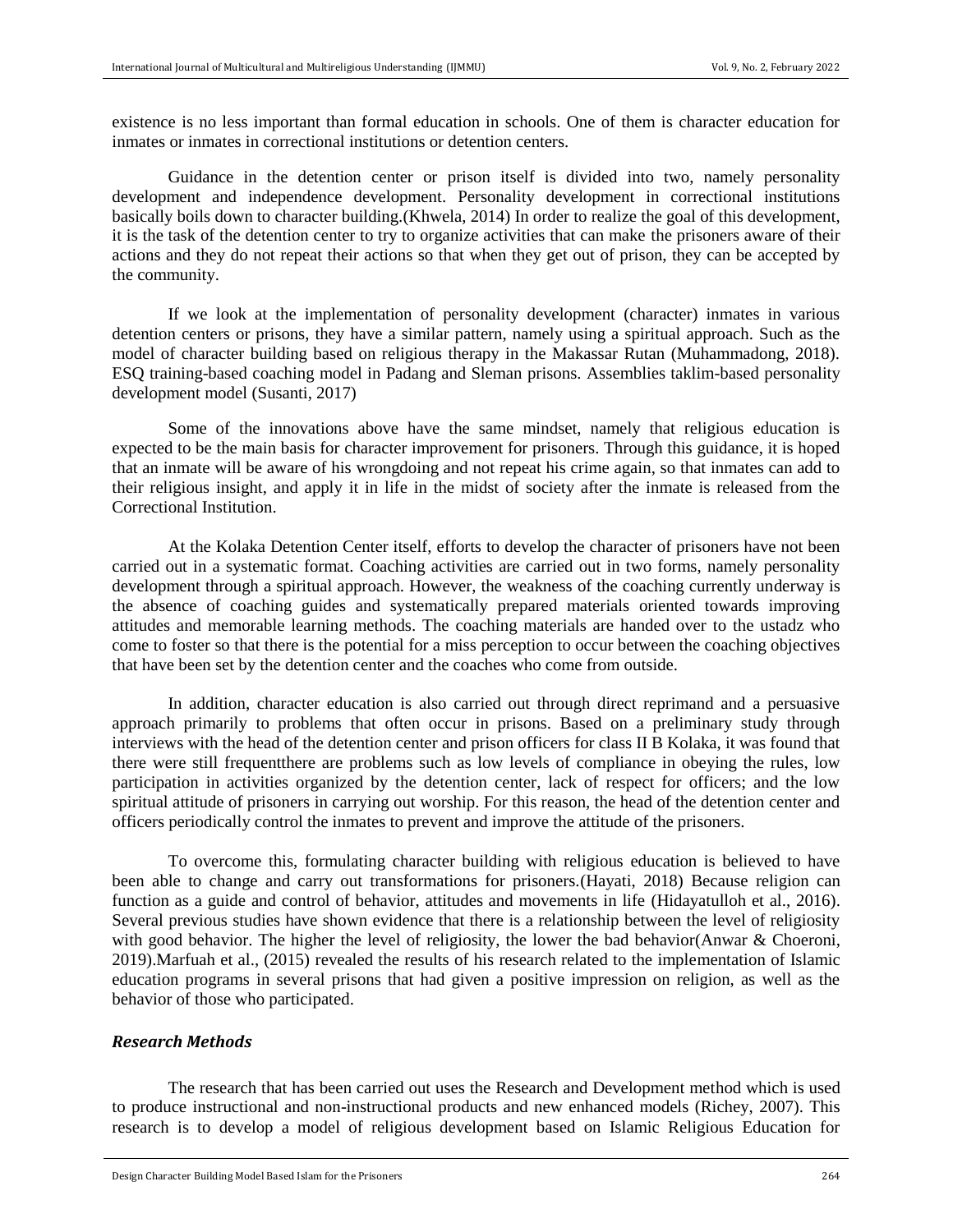existence is no less important than formal education in schools. One of them is character education for inmates or inmates in correctional institutions or detention centers.

Guidance in the detention center or prison itself is divided into two, namely personality development and independence development. Personality development in correctional institutions basically boils down to character building.(Khwela, 2014) In order to realize the goal of this development, it is the task of the detention center to try to organize activities that can make the prisoners aware of their actions and they do not repeat their actions so that when they get out of prison, they can be accepted by the community.

If we look at the implementation of personality development (character) inmates in various detention centers or prisons, they have a similar pattern, namely using a spiritual approach. Such as the model of character building based on religious therapy in the Makassar Rutan (Muhammadong, 2018). ESQ training-based coaching model in Padang and Sleman prisons. Assemblies taklim-based personality development model (Susanti, 2017)

Some of the innovations above have the same mindset, namely that religious education is expected to be the main basis for character improvement for prisoners. Through this guidance, it is hoped that an inmate will be aware of his wrongdoing and not repeat his crime again, so that inmates can add to their religious insight, and apply it in life in the midst of society after the inmate is released from the Correctional Institution.

At the Kolaka Detention Center itself, efforts to develop the character of prisoners have not been carried out in a systematic format. Coaching activities are carried out in two forms, namely personality development through a spiritual approach. However, the weakness of the coaching currently underway is the absence of coaching guides and systematically prepared materials oriented towards improving attitudes and memorable learning methods. The coaching materials are handed over to the ustadz who come to foster so that there is the potential for a miss perception to occur between the coaching objectives that have been set by the detention center and the coaches who come from outside.

In addition, character education is also carried out through direct reprimand and a persuasive approach primarily to problems that often occur in prisons. Based on a preliminary study through interviews with the head of the detention center and prison officers for class II B Kolaka, it was found that there were still frequentthere are problems such as low levels of compliance in obeying the rules, low participation in activities organized by the detention center, lack of respect for officers; and the low spiritual attitude of prisoners in carrying out worship. For this reason, the head of the detention center and officers periodically control the inmates to prevent and improve the attitude of the prisoners.

To overcome this, formulating character building with religious education is believed to have been able to change and carry out transformations for prisoners.(Hayati, 2018) Because religion can function as a guide and control of behavior, attitudes and movements in life (Hidayatulloh et al., 2016). Several previous studies have shown evidence that there is a relationship between the level of religiosity with good behavior. The higher the level of religiosity, the lower the bad behavior(Anwar & Choeroni, 2019).Marfuah et al., (2015) revealed the results of his research related to the implementation of Islamic education programs in several prisons that had given a positive impression on religion, as well as the behavior of those who participated.

## *Research Methods*

The research that has been carried out uses the Research and Development method which is used to produce instructional and non-instructional products and new enhanced models (Richey, 2007). This research is to develop a model of religious development based on Islamic Religious Education for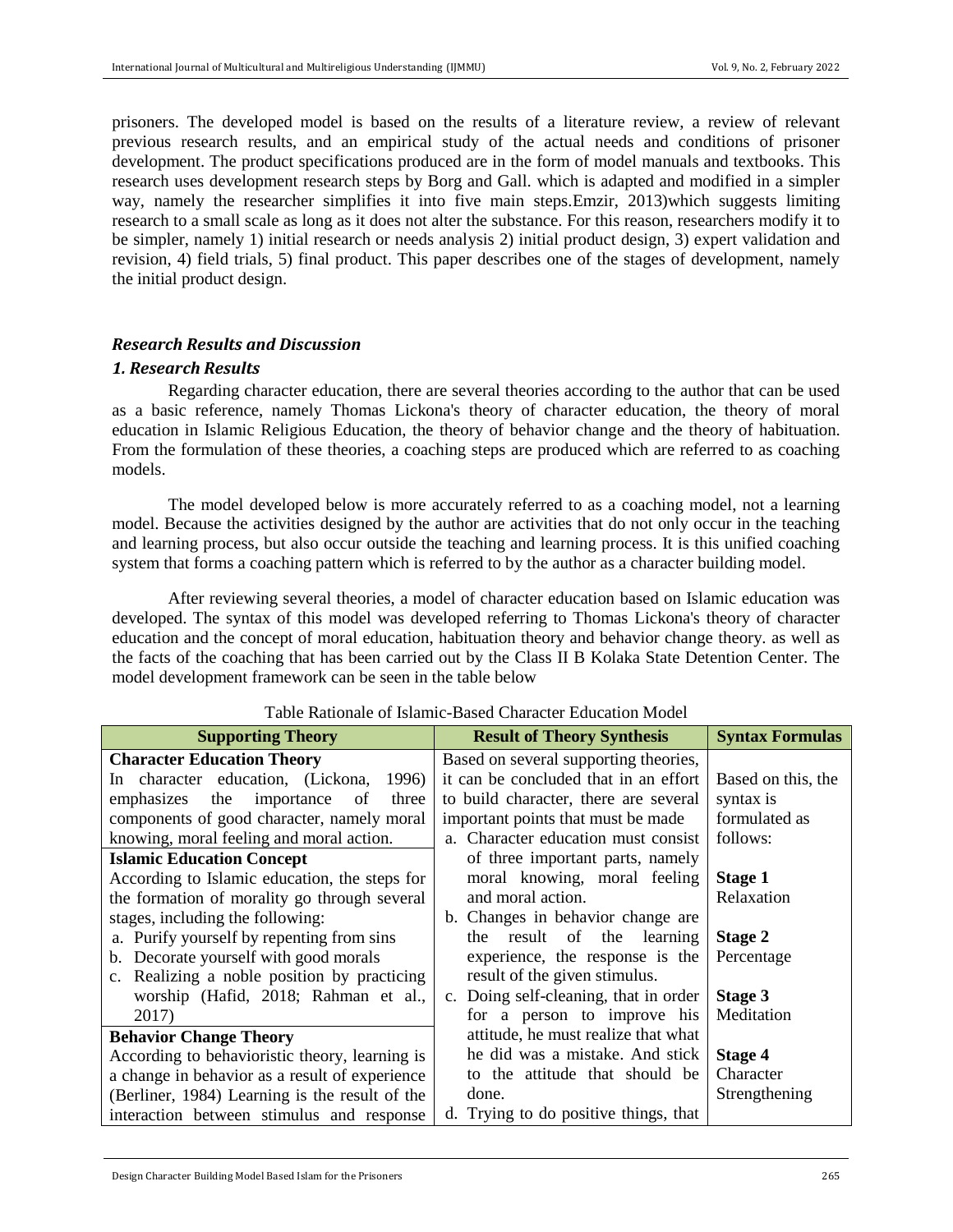prisoners. The developed model is based on the results of a literature review, a review of relevant previous research results, and an empirical study of the actual needs and conditions of prisoner development. The product specifications produced are in the form of model manuals and textbooks. This research uses development research steps by Borg and Gall. which is adapted and modified in a simpler way, namely the researcher simplifies it into five main steps.Emzir, 2013)which suggests limiting research to a small scale as long as it does not alter the substance. For this reason, researchers modify it to be simpler, namely 1) initial research or needs analysis 2) initial product design, 3) expert validation and revision, 4) field trials, 5) final product. This paper describes one of the stages of development, namely the initial product design.

## *Research Results and Discussion*

## *1. Research Results*

Regarding character education, there are several theories according to the author that can be used as a basic reference, namely Thomas Lickona's theory of character education, the theory of moral education in Islamic Religious Education, the theory of behavior change and the theory of habituation. From the formulation of these theories, a coaching steps are produced which are referred to as coaching models.

The model developed below is more accurately referred to as a coaching model, not a learning model. Because the activities designed by the author are activities that do not only occur in the teaching and learning process, but also occur outside the teaching and learning process. It is this unified coaching system that forms a coaching pattern which is referred to by the author as a character building model.

After reviewing several theories, a model of character education based on Islamic education was developed. The syntax of this model was developed referring to Thomas Lickona's theory of character education and the concept of moral education, habituation theory and behavior change theory. as well as the facts of the coaching that has been carried out by the Class II B Kolaka State Detention Center. The model development framework can be seen in the table below

| <b>Supporting Theory</b>                       | <b>Result of Theory Synthesis</b>     | <b>Syntax Formulas</b> |
|------------------------------------------------|---------------------------------------|------------------------|
| <b>Character Education Theory</b>              | Based on several supporting theories, |                        |
| In character education, (Lickona,<br>1996)     | it can be concluded that in an effort | Based on this, the     |
| emphasizes the importance<br>three<br>of       | to build character, there are several | syntax is              |
| components of good character, namely moral     | important points that must be made    | formulated as          |
| knowing, moral feeling and moral action.       | a. Character education must consist   | follows:               |
| <b>Islamic Education Concept</b>               | of three important parts, namely      |                        |
| According to Islamic education, the steps for  | moral knowing, moral feeling          | Stage 1                |
| the formation of morality go through several   | and moral action.                     | Relaxation             |
| stages, including the following:               | b. Changes in behavior change are     |                        |
| a. Purify yourself by repenting from sins      | result of the learning<br>the         | Stage 2                |
| b. Decorate yourself with good morals          | experience, the response is the       | Percentage             |
| c. Realizing a noble position by practicing    | result of the given stimulus.         |                        |
| worship (Hafid, 2018; Rahman et al.,           | c. Doing self-cleaning, that in order | Stage 3                |
| 2017)                                          | for a person to improve his           | Meditation             |
| <b>Behavior Change Theory</b>                  | attitude, he must realize that what   |                        |
| According to behavioristic theory, learning is | he did was a mistake. And stick       | <b>Stage 4</b>         |
| a change in behavior as a result of experience | the attitude that should be<br>f∩     | Character              |
| (Berliner, 1984) Learning is the result of the | done.                                 | Strengthening          |
| interaction between stimulus and response      | d. Trying to do positive things, that |                        |

## Table Rationale of Islamic-Based Character Education Model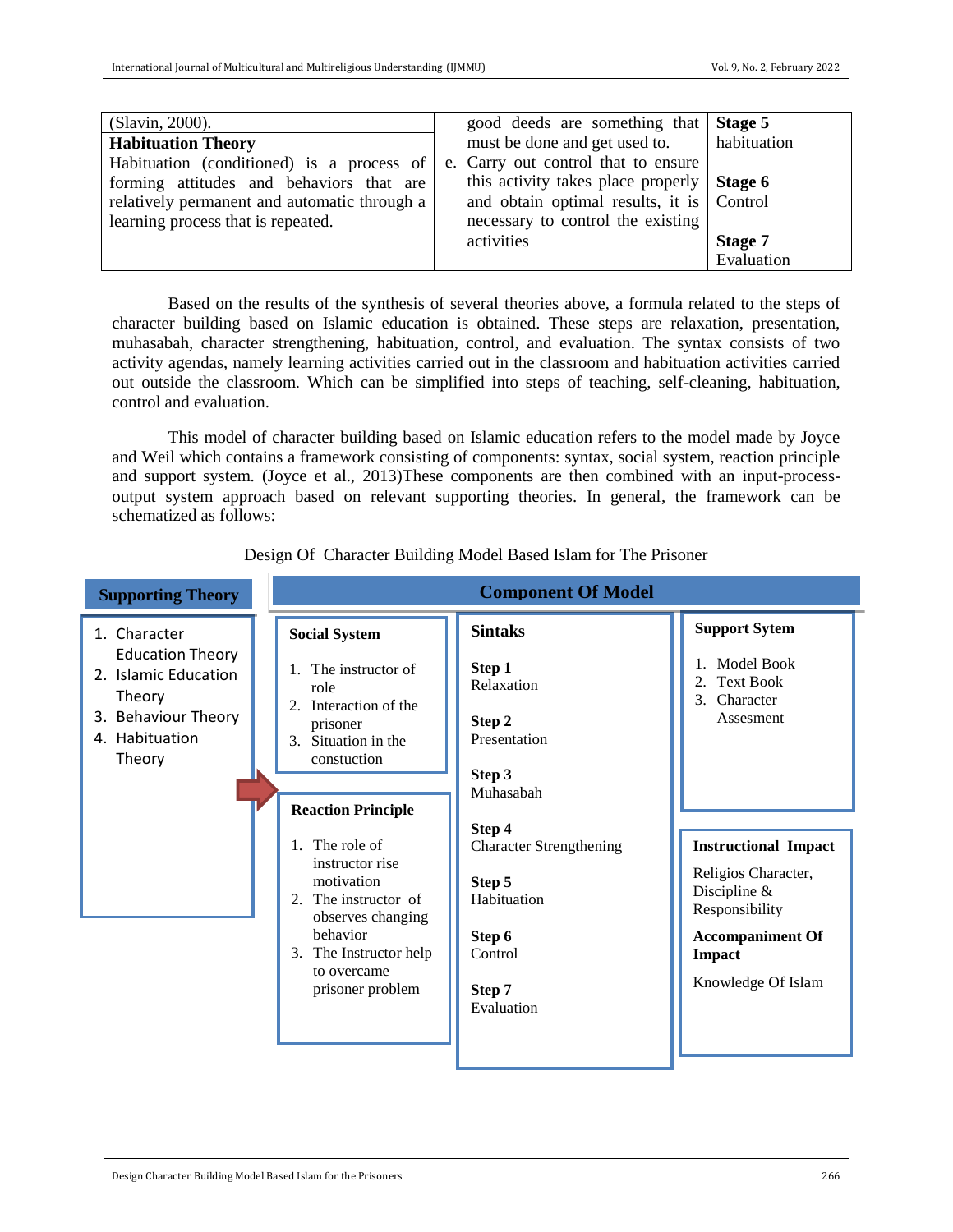| (Slavin, 2000).                              | good deeds are something that                             | Stage 5     |
|----------------------------------------------|-----------------------------------------------------------|-------------|
| <b>Habituation Theory</b>                    | must be done and get used to.                             | habituation |
| Habituation (conditioned) is a process of    | e. Carry out control that to ensure                       |             |
| forming attitudes and behaviors that are     | this activity takes place properly $\vert$ <b>Stage 6</b> |             |
| relatively permanent and automatic through a | and obtain optimal results, it is Control                 |             |
| learning process that is repeated.           | necessary to control the existing                         |             |
|                                              | activities                                                | Stage 7     |
|                                              |                                                           | Evaluation  |

Based on the results of the synthesis of several theories above, a formula related to the steps of character building based on Islamic education is obtained. These steps are relaxation, presentation, muhasabah, character strengthening, habituation, control, and evaluation. The syntax consists of two activity agendas, namely learning activities carried out in the classroom and habituation activities carried out outside the classroom. Which can be simplified into steps of teaching, self-cleaning, habituation, control and evaluation.

This model of character building based on Islamic education refers to the model made by Joyce and Weil which contains a framework consisting of components: syntax, social system, reaction principle and support system. (Joyce et al., 2013)These components are then combined with an input-processoutput system approach based on relevant supporting theories. In general, the framework can be schematized as follows:

| <b>Supporting Theory</b>                                                                                                     |                                                                                                                                                                                                                                                              | <b>Component Of Model</b>                                                                                                                                    |                                                                                                                                                                                  |
|------------------------------------------------------------------------------------------------------------------------------|--------------------------------------------------------------------------------------------------------------------------------------------------------------------------------------------------------------------------------------------------------------|--------------------------------------------------------------------------------------------------------------------------------------------------------------|----------------------------------------------------------------------------------------------------------------------------------------------------------------------------------|
| 1. Character<br><b>Education Theory</b><br>2. Islamic Education<br>Theory<br>3. Behaviour Theory<br>4. Habituation<br>Theory | <b>Social System</b><br>1. The instructor of<br>role<br>2. Interaction of the<br>prisoner<br>3. Situation in the<br>constuction<br><b>Reaction Principle</b><br>1. The role of<br>instructor rise<br>motivation<br>2. The instructor of<br>observes changing | <b>Sintaks</b><br>Step 1<br>Relaxation<br>Step 2<br>Presentation<br>Step 3<br>Muhasabah<br>Step 4<br><b>Character Strengthening</b><br>Step 5<br>Habituation | <b>Support Sytem</b><br>1. Model Book<br><b>Text Book</b><br>3. Character<br>Assesment<br><b>Instructional Impact</b><br>Religios Character,<br>Discipline $&$<br>Responsibility |
|                                                                                                                              | behavior<br>3. The Instructor help<br>to overcame<br>prisoner problem                                                                                                                                                                                        | Step 6<br>Control<br>Step 7<br>Evaluation                                                                                                                    | <b>Accompaniment Of</b><br>Impact<br>Knowledge Of Islam                                                                                                                          |

Design Of Character Building Model Based Islam for The Prisoner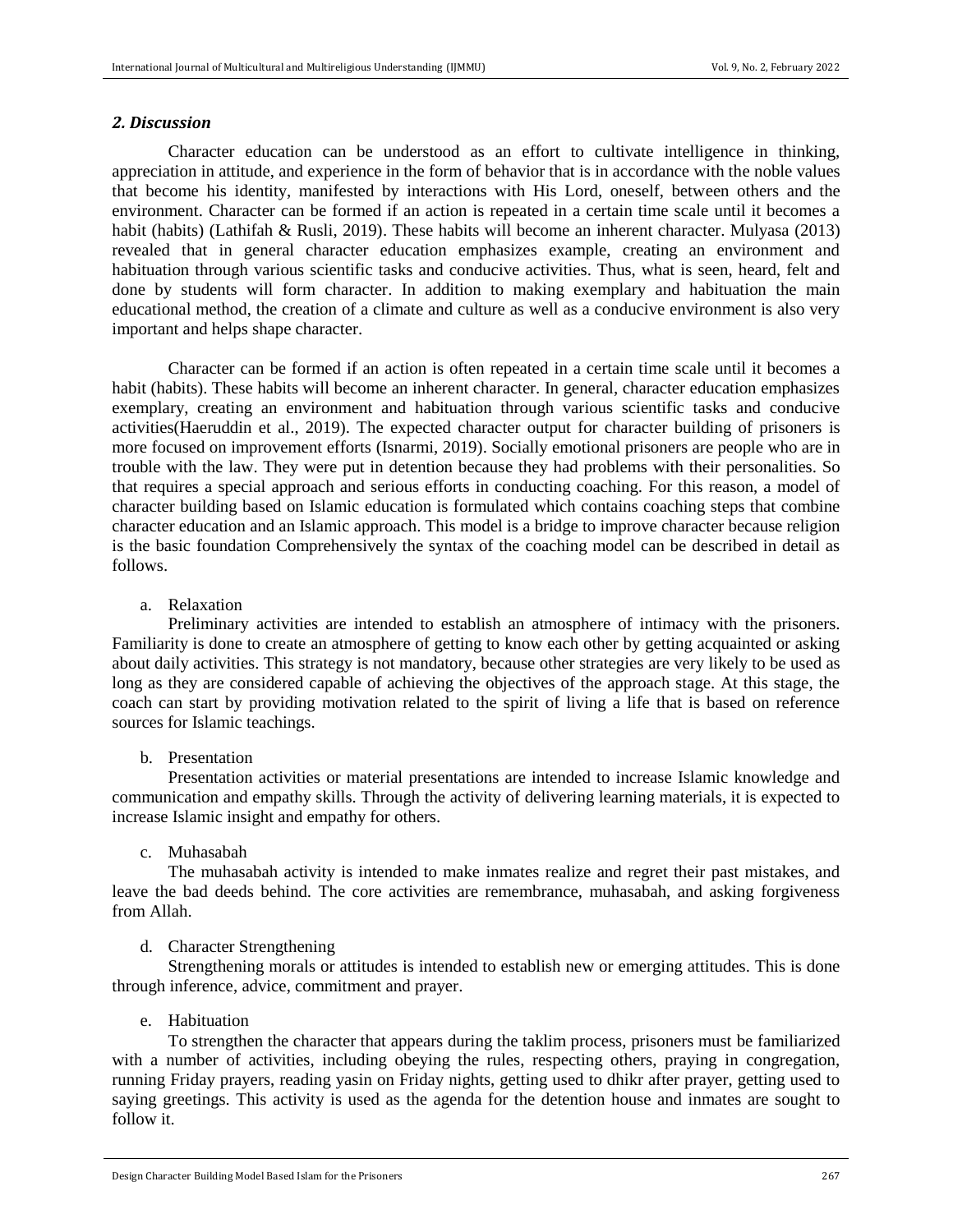#### *2. Discussion*

Character education can be understood as an effort to cultivate intelligence in thinking, appreciation in attitude, and experience in the form of behavior that is in accordance with the noble values that become his identity, manifested by interactions with His Lord, oneself, between others and the environment. Character can be formed if an action is repeated in a certain time scale until it becomes a habit (habits) (Lathifah & Rusli, 2019). These habits will become an inherent character. Mulyasa (2013) revealed that in general character education emphasizes example, creating an environment and habituation through various scientific tasks and conducive activities. Thus, what is seen, heard, felt and done by students will form character. In addition to making exemplary and habituation the main educational method, the creation of a climate and culture as well as a conducive environment is also very important and helps shape character.

Character can be formed if an action is often repeated in a certain time scale until it becomes a habit (habits). These habits will become an inherent character. In general, character education emphasizes exemplary, creating an environment and habituation through various scientific tasks and conducive activities(Haeruddin et al., 2019). The expected character output for character building of prisoners is more focused on improvement efforts (Isnarmi, 2019). Socially emotional prisoners are people who are in trouble with the law. They were put in detention because they had problems with their personalities. So that requires a special approach and serious efforts in conducting coaching. For this reason, a model of character building based on Islamic education is formulated which contains coaching steps that combine character education and an Islamic approach. This model is a bridge to improve character because religion is the basic foundation Comprehensively the syntax of the coaching model can be described in detail as follows.

a. Relaxation

Preliminary activities are intended to establish an atmosphere of intimacy with the prisoners. Familiarity is done to create an atmosphere of getting to know each other by getting acquainted or asking about daily activities. This strategy is not mandatory, because other strategies are very likely to be used as long as they are considered capable of achieving the objectives of the approach stage. At this stage, the coach can start by providing motivation related to the spirit of living a life that is based on reference sources for Islamic teachings.

## b. Presentation

Presentation activities or material presentations are intended to increase Islamic knowledge and communication and empathy skills. Through the activity of delivering learning materials, it is expected to increase Islamic insight and empathy for others.

c. Muhasabah

The muhasabah activity is intended to make inmates realize and regret their past mistakes, and leave the bad deeds behind. The core activities are remembrance, muhasabah, and asking forgiveness from Allah.

#### d. Character Strengthening

Strengthening morals or attitudes is intended to establish new or emerging attitudes. This is done through inference, advice, commitment and prayer.

#### e. Habituation

To strengthen the character that appears during the taklim process, prisoners must be familiarized with a number of activities, including obeying the rules, respecting others, praying in congregation, running Friday prayers, reading yasin on Friday nights, getting used to dhikr after prayer, getting used to saying greetings. This activity is used as the agenda for the detention house and inmates are sought to follow it.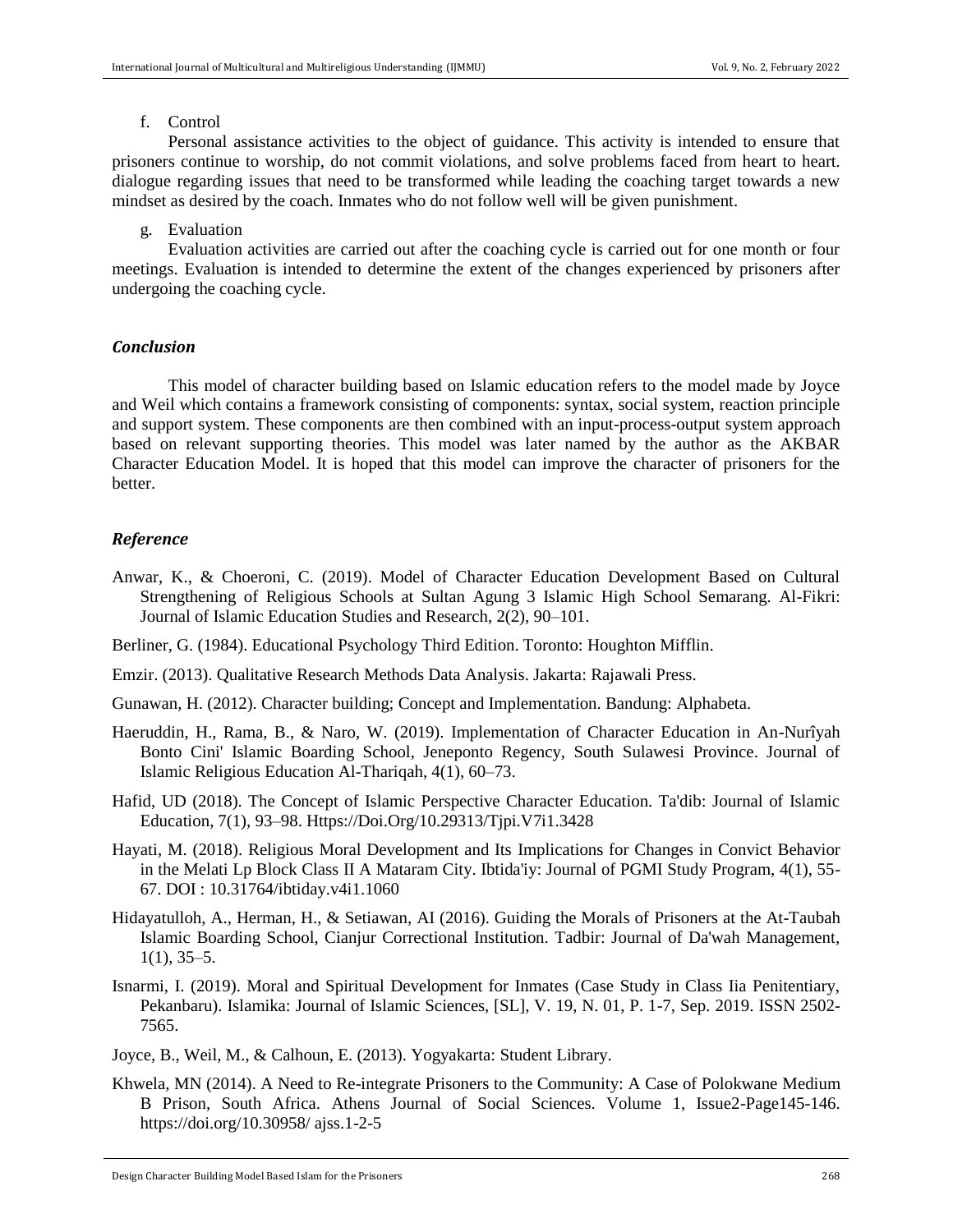## f. Control

Personal assistance activities to the object of guidance. This activity is intended to ensure that prisoners continue to worship, do not commit violations, and solve problems faced from heart to heart. dialogue regarding issues that need to be transformed while leading the coaching target towards a new mindset as desired by the coach. Inmates who do not follow well will be given punishment.

## g. Evaluation

Evaluation activities are carried out after the coaching cycle is carried out for one month or four meetings. Evaluation is intended to determine the extent of the changes experienced by prisoners after undergoing the coaching cycle.

## *Conclusion*

This model of character building based on Islamic education refers to the model made by Joyce and Weil which contains a framework consisting of components: syntax, social system, reaction principle and support system. These components are then combined with an input-process-output system approach based on relevant supporting theories. This model was later named by the author as the AKBAR Character Education Model. It is hoped that this model can improve the character of prisoners for the better.

# *Reference*

- Anwar, K., & Choeroni, C. (2019). Model of Character Education Development Based on Cultural Strengthening of Religious Schools at Sultan Agung 3 Islamic High School Semarang. Al-Fikri: Journal of Islamic Education Studies and Research, 2(2), 90–101.
- Berliner, G. (1984). Educational Psychology Third Edition. Toronto: Houghton Mifflin.
- Emzir. (2013). Qualitative Research Methods Data Analysis. Jakarta: Rajawali Press.
- Gunawan, H. (2012). Character building; Concept and Implementation. Bandung: Alphabeta.
- Haeruddin, H., Rama, B., & Naro, W. (2019). Implementation of Character Education in An-Nurîyah Bonto Cini' Islamic Boarding School, Jeneponto Regency, South Sulawesi Province. Journal of Islamic Religious Education Al-Thariqah, 4(1), 60–73.
- Hafid, UD (2018). The Concept of Islamic Perspective Character Education. Ta'dib: Journal of Islamic Education, 7(1), 93–98. Https://Doi.Org/10.29313/Tjpi.V7i1.3428
- Hayati, M. (2018). Religious Moral Development and Its Implications for Changes in Convict Behavior in the Melati Lp Block Class II A Mataram City. Ibtida'iy: Journal of PGMI Study Program, 4(1), 55- 67. DOI : 10.31764/ibtiday.v4i1.1060
- Hidayatulloh, A., Herman, H., & Setiawan, AI (2016). Guiding the Morals of Prisoners at the At-Taubah Islamic Boarding School, Cianjur Correctional Institution. Tadbir: Journal of Da'wah Management,  $1(1), 35-5.$
- Isnarmi, I. (2019). Moral and Spiritual Development for Inmates (Case Study in Class Iia Penitentiary, Pekanbaru). Islamika: Journal of Islamic Sciences, [SL], V. 19, N. 01, P. 1-7, Sep. 2019. ISSN 2502- 7565.

Joyce, B., Weil, M., & Calhoun, E. (2013). Yogyakarta: Student Library.

Khwela, MN (2014). A Need to Re-integrate Prisoners to the Community: A Case of Polokwane Medium B Prison, South Africa. Athens Journal of Social Sciences. Volume 1, Issue2-Page145-146. https://doi.org/10.30958/ ajss.1-2-5